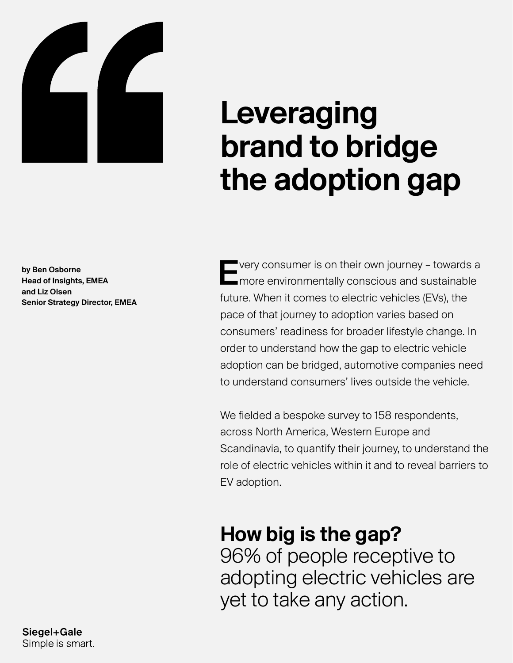

# Leveraging brand to bridge the adoption gap

by Ben Osborne Head of Insights, EMEA and Liz Olsen Senior Strategy Director, EMEA Every consumer is on their own journey – towards a more environmentally conscious and sustainable future. When it comes to electric vehicles (EVs), the pace of that journey to adoption varies based on consumers' readiness for broader lifestyle change. In order to understand how the gap to electric vehicle adoption can be bridged, automotive companies need to understand consumers' lives outside the vehicle.

We fielded a bespoke survey to 158 respondents, across North America, Western Europe and Scandinavia, to quantify their journey, to understand the role of electric vehicles within it and to reveal barriers to EV adoption.

### How big is the gap?

96% of people receptive to adopting electric vehicles are yet to take any action.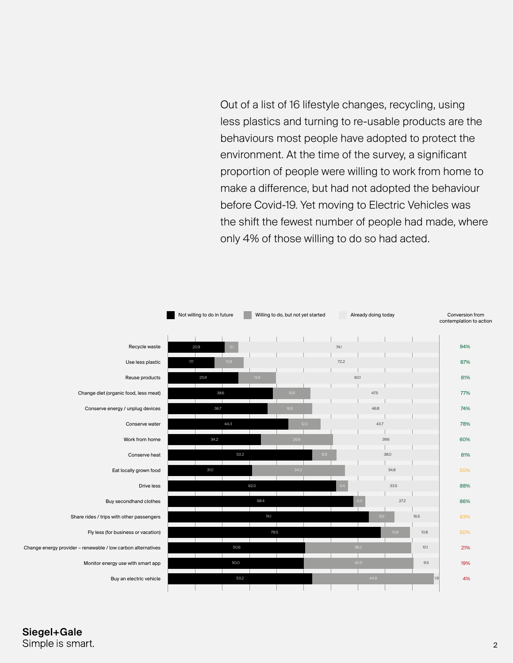Out of a list of 16 lifestyle changes, recycling, using less plastics and turning to re-usable products are the behaviours most people have adopted to protect the environment. At the time of the survey, a significant proportion of people were willing to work from home to make a difference, but had not adopted the behaviour before Covid-19. Yet moving to Electric Vehicles was the shift the fewest number of people had made, where only 4% of those willing to do so had acted.



Siegel+Gale Simple is smart.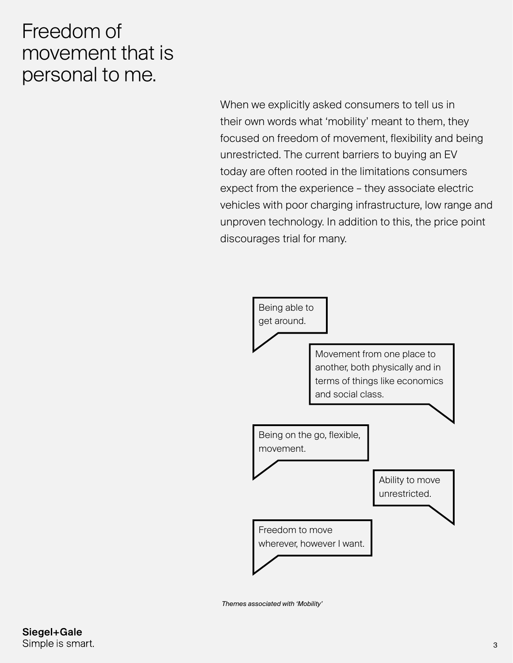#### Freedom of movement that is personal to me.

When we explicitly asked consumers to tell us in their own words what 'mobility' meant to them, they focused on freedom of movement, flexibility and being unrestricted. The current barriers to buying an EV today are often rooted in the limitations consumers expect from the experience – they associate electric vehicles with poor charging infrastructure, low range and unproven technology. In addition to this, the price point discourages trial for many.



*Themes associated with 'Mobility'*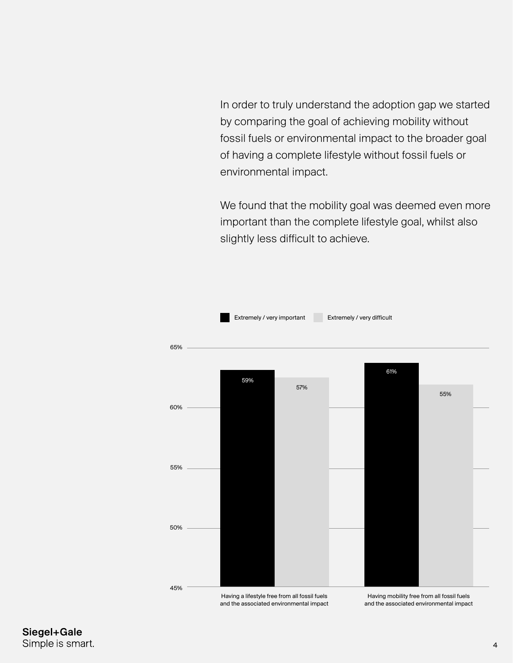In order to truly understand the adoption gap we started by comparing the goal of achieving mobility without fossil fuels or environmental impact to the broader goal of having a complete lifestyle without fossil fuels or environmental impact.

We found that the mobility goal was deemed even more important than the complete lifestyle goal, whilst also slightly less difficult to achieve.



Siegel+Gale Simple is smart.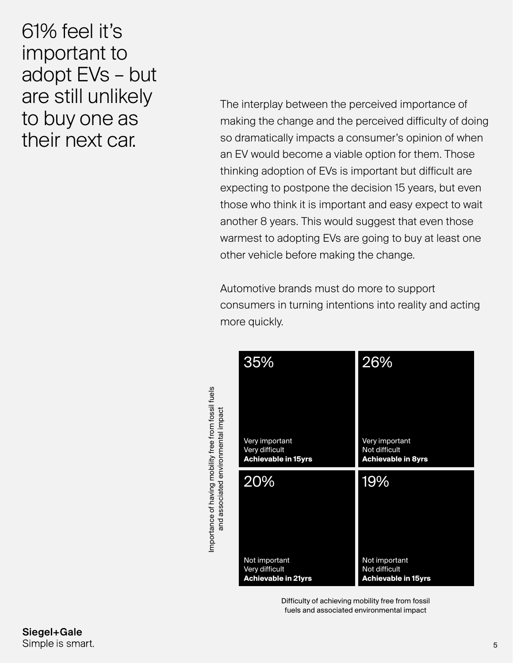#### 61% feel it's important to adopt EVs – but are still unlikely to buy one as their next car.

The interplay between the perceived importance of making the change and the perceived difficulty of doing so dramatically impacts a consumer's opinion of when an EV would become a viable option for them. Those thinking adoption of EVs is important but difficult are expecting to postpone the decision 15 years, but even those who think it is important and easy expect to wait another 8 years. This would suggest that even those warmest to adopting EVs are going to buy at least one other vehicle before making the change.

Automotive brands must do more to support consumers in turning intentions into reality and acting more quickly.

|                                     | 35%                                                            | 26%                                                          |
|-------------------------------------|----------------------------------------------------------------|--------------------------------------------------------------|
|                                     | Very important<br>Very difficult<br><b>Achievable in 15yrs</b> | Very important<br>Not difficult<br><b>Achievable in 8yrs</b> |
|                                     |                                                                |                                                              |
|                                     | 20%                                                            | 19%                                                          |
| and associated environmental impact | Not important                                                  | Not important                                                |

Importance of having mobility free from fossil fuels

Importance of having mobility free from fossil fuels

Difficulty of achieving mobility free from fossil fuels and associated environmental impa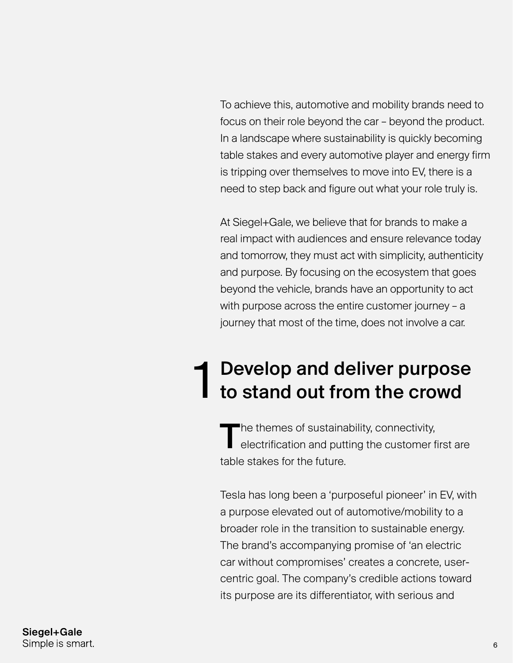To achieve this, automotive and mobility brands need to focus on their role beyond the car – beyond the product. In a landscape where sustainability is quickly becoming table stakes and every automotive player and energy firm is tripping over themselves to move into EV, there is a need to step back and figure out what your role truly is.

At Siegel+Gale, we believe that for brands to make a real impact with audiences and ensure relevance today and tomorrow, they must act with simplicity, authenticity and purpose. By focusing on the ecosystem that goes beyond the vehicle, brands have an opportunity to act with purpose across the entire customer journey – a journey that most of the time, does not involve a car.

### Develop and deliver purpose 1 Develop and deliver purpose<br>1 to stand out from the crowd

The themes of sustainability, connectivity,<br>
electrification and putting the customer first are table stakes for the future.

Tesla has long been a 'purposeful pioneer' in EV, with a purpose elevated out of automotive/mobility to a broader role in the transition to sustainable energy. The brand's accompanying promise of 'an electric car without compromises' creates a concrete, usercentric goal. The company's credible actions toward its purpose are its differentiator, with serious and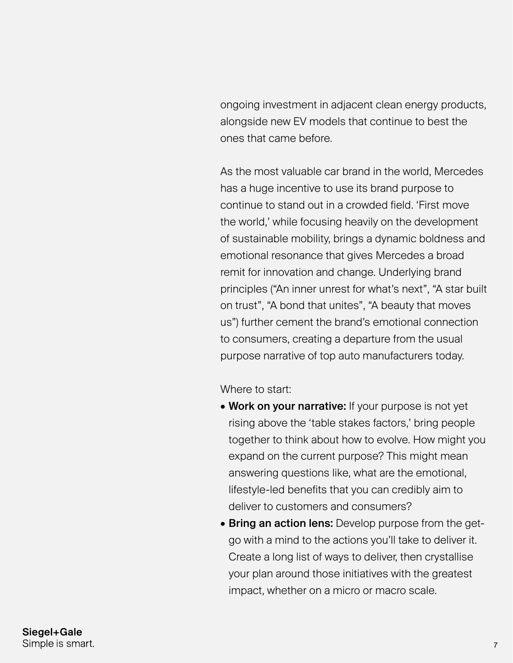ongoing investment in adjacent clean energy products, alongside new EV models that continue to best the ones that came before.

As the most valuable car brand in the world, Mercedes has a huge incentive to use its brand purpose to continue to stand out in a crowded field. 'First move the world,' while focusing heavily on the development of sustainable mobility, brings a dynamic boldness and emotional resonance that gives Mercedes a broad remit for innovation and change. Underlying brand principles ("An inner unrest for what's next", "A star built on trust", "A bond that unites", "A beauty that moves us") further cement the brand's emotional connection to consumers, creating a departure from the usual purpose narrative of top auto manufacturers today.

Where to start:

- Work on your narrative: If your purpose is not yet rising above the 'table stakes factors,' bring people together to think about how to evolve. How might you expand on the current purpose? This might mean answering questions like, what are the emotional, lifestyle-led benefits that you can credibly aim to deliver to customers and consumers?
- Bring an action lens: Develop purpose from the getgo with a mind to the actions you'll take to deliver it. Create a long list of ways to deliver, then crystallise your plan around those initiatives with the greatest impact, whether on a micro or macro scale.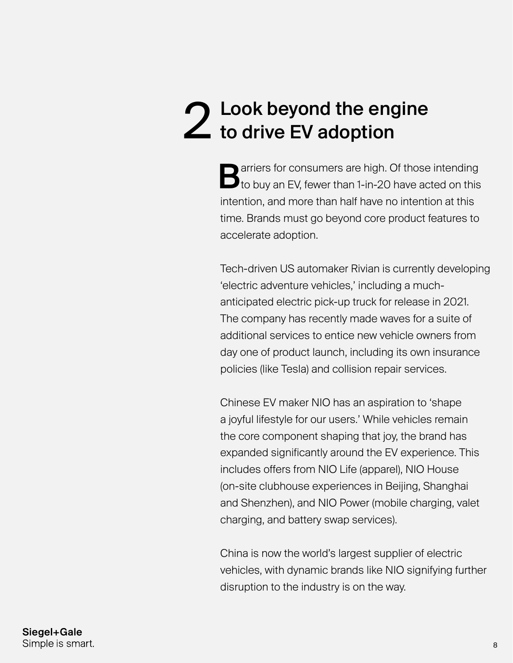### Look beyond the engine 2 Look beyond the eng<br>
2 to drive EV adoption

**B** arriers for consumers are high. Of those intending to buy an EV, fewer than 1-in-20 have acted on this intention, and more than half have no intention at this time. Brands must go beyond core product features to accelerate adoption.

Tech-driven US automaker Rivian is currently developing 'electric adventure vehicles,' including a muchanticipated electric pick-up truck for release in 2021. The company has recently made waves for a suite of additional services to entice new vehicle owners from day one of product launch, including its own insurance policies (like Tesla) and collision repair services.

Chinese EV maker NIO has an aspiration to 'shape a joyful lifestyle for our users.' While vehicles remain the core component shaping that joy, the brand has expanded significantly around the EV experience. This includes offers from NIO Life (apparel), NIO House (on-site clubhouse experiences in Beijing, Shanghai and Shenzhen), and NIO Power (mobile charging, valet charging, and battery swap services).

China is now the world's largest supplier of electric vehicles, with dynamic brands like NIO signifying further disruption to the industry is on the way.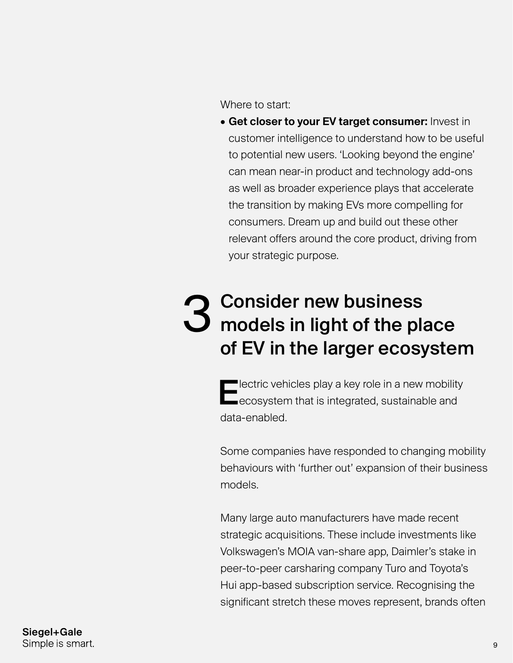Where to start:

**• Get closer to your EV target consumer:** Invest in customer intelligence to understand how to be useful to potential new users. 'Looking beyond the engine' can mean near-in product and technology add-ons as well as broader experience plays that accelerate the transition by making EVs more compelling for consumers. Dream up and build out these other relevant offers around the core product, driving from your strategic purpose.

#### Consider new business models in light of the place of EV in the larger ecosystem 3

**Electric vehicles play a key role in a new mobility** ecosystem that is integrated, sustainable and data-enabled.

Some companies have responded to changing mobility behaviours with 'further out' expansion of their business models.

Many large auto manufacturers have made recent strategic acquisitions. These include investments like Volkswagen's MOIA van-share app, Daimler's stake in peer-to-peer carsharing company Turo and Toyota's Hui app-based subscription service. Recognising the significant stretch these moves represent, brands often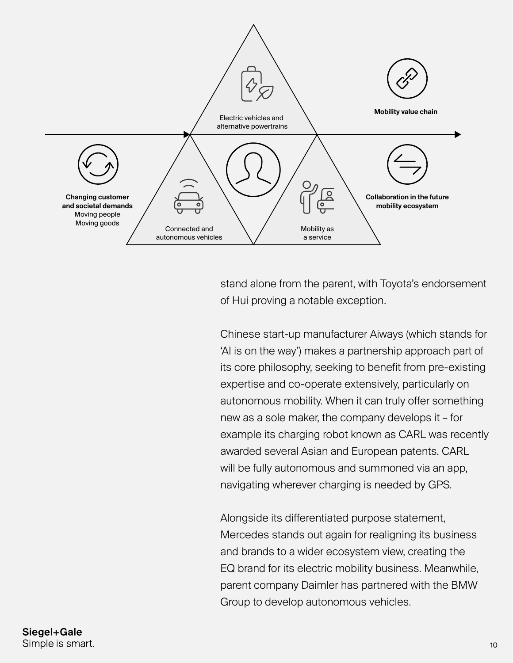

stand alone from the parent, with Toyota's endorsement of Hui proving a notable exception.

Chinese start-up manufacturer Aiways (which stands for 'AI is on the way') makes a partnership approach part of its core philosophy, seeking to benefit from pre-existing expertise and co-operate extensively, particularly on autonomous mobility. When it can truly offer something new as a sole maker, the company develops it – for example its charging robot known as CARL was recently awarded several Asian and European patents. CARL will be fully autonomous and summoned via an app, navigating wherever charging is needed by GPS.

Alongside its differentiated purpose statement, Mercedes stands out again for realigning its business and brands to a wider ecosystem view, creating the EQ brand for its electric mobility business. Meanwhile, parent company Daimler has partnered with the BMW Group to develop autonomous vehicles.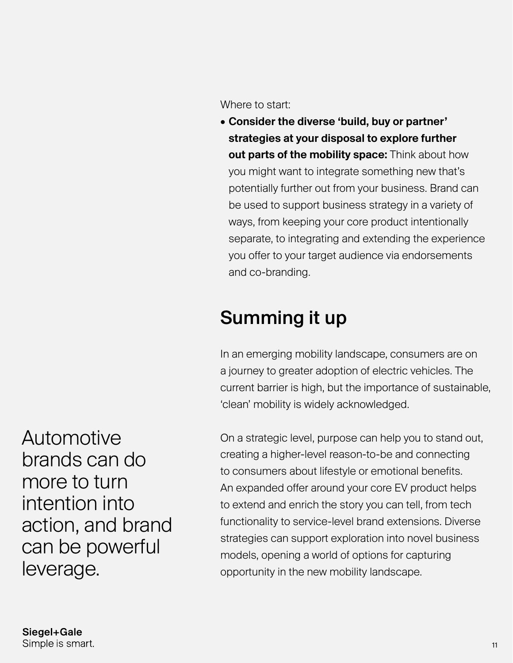Where to start:

• Consider the diverse 'build, buy or partner' strategies at your disposal to explore further out parts of the mobility space: Think about how you might want to integrate something new that's potentially further out from your business. Brand can be used to support business strategy in a variety of ways, from keeping your core product intentionally separate, to integrating and extending the experience you offer to your target audience via endorsements and co-branding.

### Summing it up

In an emerging mobility landscape, consumers are on a journey to greater adoption of electric vehicles. The current barrier is high, but the importance of sustainable, 'clean' mobility is widely acknowledged.

On a strategic level, purpose can help you to stand out, creating a higher-level reason-to-be and connecting to consumers about lifestyle or emotional benefits. An expanded offer around your core EV product helps to extend and enrich the story you can tell, from tech functionality to service-level brand extensions. Diverse strategies can support exploration into novel business models, opening a world of options for capturing opportunity in the new mobility landscape.

Automotive brands can do more to turn intention into action, and brand can be powerful leverage.